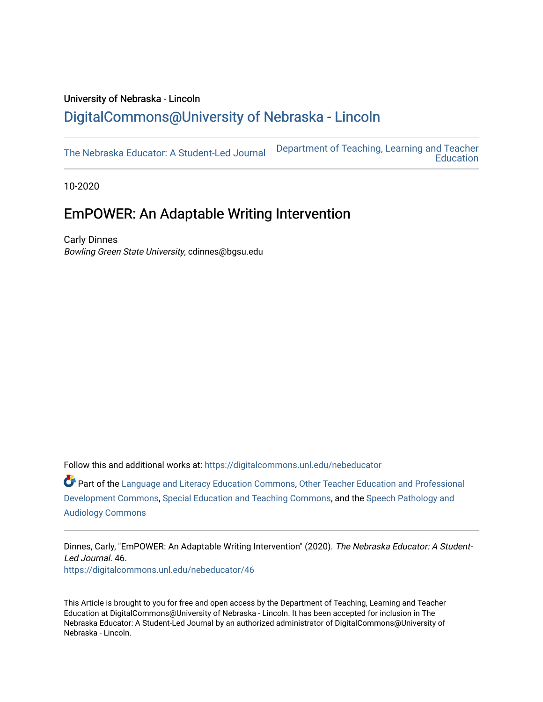## University of Nebraska - Lincoln [DigitalCommons@University of Nebraska - Lincoln](https://digitalcommons.unl.edu/)

[The Nebraska Educator: A Student-Led Journal](https://digitalcommons.unl.edu/nebeducator) [Department of Teaching, Learning and Teacher](https://digitalcommons.unl.edu/teaching_learning)  **Education** 

10-2020

# EmPOWER: An Adaptable Writing Intervention

Carly Dinnes Bowling Green State University, cdinnes@bgsu.edu

Follow this and additional works at: [https://digitalcommons.unl.edu/nebeducator](https://digitalcommons.unl.edu/nebeducator?utm_source=digitalcommons.unl.edu%2Fnebeducator%2F46&utm_medium=PDF&utm_campaign=PDFCoverPages)

Part of the [Language and Literacy Education Commons,](http://network.bepress.com/hgg/discipline/1380?utm_source=digitalcommons.unl.edu%2Fnebeducator%2F46&utm_medium=PDF&utm_campaign=PDFCoverPages) [Other Teacher Education and Professional](http://network.bepress.com/hgg/discipline/810?utm_source=digitalcommons.unl.edu%2Fnebeducator%2F46&utm_medium=PDF&utm_campaign=PDFCoverPages)  [Development Commons](http://network.bepress.com/hgg/discipline/810?utm_source=digitalcommons.unl.edu%2Fnebeducator%2F46&utm_medium=PDF&utm_campaign=PDFCoverPages), [Special Education and Teaching Commons](http://network.bepress.com/hgg/discipline/801?utm_source=digitalcommons.unl.edu%2Fnebeducator%2F46&utm_medium=PDF&utm_campaign=PDFCoverPages), and the [Speech Pathology and](http://network.bepress.com/hgg/discipline/1035?utm_source=digitalcommons.unl.edu%2Fnebeducator%2F46&utm_medium=PDF&utm_campaign=PDFCoverPages) [Audiology Commons](http://network.bepress.com/hgg/discipline/1035?utm_source=digitalcommons.unl.edu%2Fnebeducator%2F46&utm_medium=PDF&utm_campaign=PDFCoverPages) 

Dinnes, Carly, "EmPOWER: An Adaptable Writing Intervention" (2020). The Nebraska Educator: A Student-Led Journal. 46. [https://digitalcommons.unl.edu/nebeducator/46](https://digitalcommons.unl.edu/nebeducator/46?utm_source=digitalcommons.unl.edu%2Fnebeducator%2F46&utm_medium=PDF&utm_campaign=PDFCoverPages) 

This Article is brought to you for free and open access by the Department of Teaching, Learning and Teacher Education at DigitalCommons@University of Nebraska - Lincoln. It has been accepted for inclusion in The Nebraska Educator: A Student-Led Journal by an authorized administrator of DigitalCommons@University of Nebraska - Lincoln.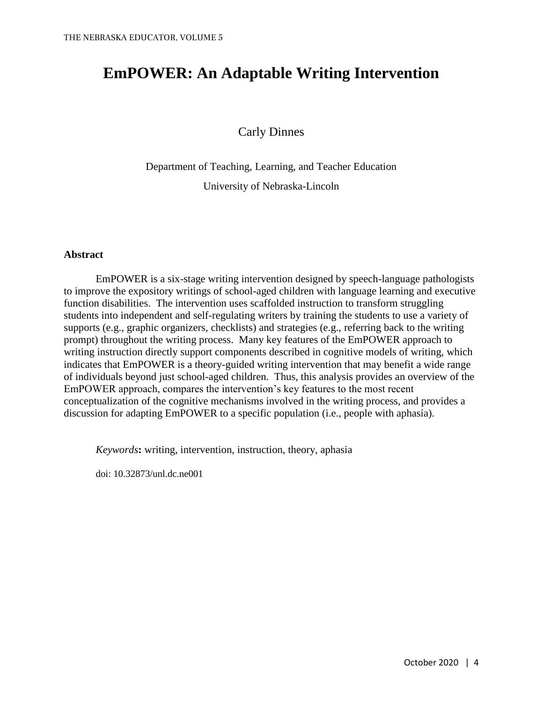# **EmPOWER: An Adaptable Writing Intervention**

Carly Dinnes

Department of Teaching, Learning, and Teacher Education

University of Nebraska-Lincoln

#### **Abstract**

EmPOWER is a six-stage writing intervention designed by speech-language pathologists to improve the expository writings of school-aged children with language learning and executive function disabilities. The intervention uses scaffolded instruction to transform struggling students into independent and self-regulating writers by training the students to use a variety of supports (e.g., graphic organizers, checklists) and strategies (e.g., referring back to the writing prompt) throughout the writing process. Many key features of the EmPOWER approach to writing instruction directly support components described in cognitive models of writing, which indicates that EmPOWER is a theory-guided writing intervention that may benefit a wide range of individuals beyond just school-aged children. Thus, this analysis provides an overview of the EmPOWER approach, compares the intervention's key features to the most recent conceptualization of the cognitive mechanisms involved in the writing process, and provides a discussion for adapting EmPOWER to a specific population (i.e., people with aphasia).

*Keywords***:** writing, intervention, instruction, theory, aphasia

doi: 10.32873/unl.dc.ne001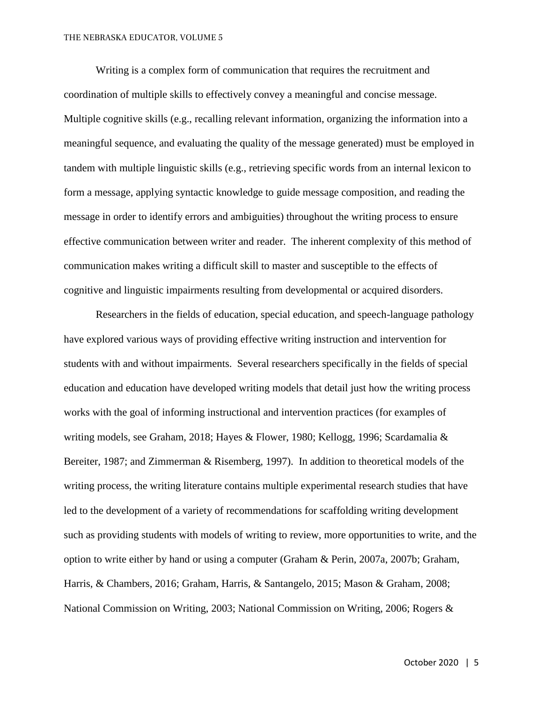Writing is a complex form of communication that requires the recruitment and coordination of multiple skills to effectively convey a meaningful and concise message. Multiple cognitive skills (e.g., recalling relevant information, organizing the information into a meaningful sequence, and evaluating the quality of the message generated) must be employed in tandem with multiple linguistic skills (e.g., retrieving specific words from an internal lexicon to form a message, applying syntactic knowledge to guide message composition, and reading the message in order to identify errors and ambiguities) throughout the writing process to ensure effective communication between writer and reader. The inherent complexity of this method of communication makes writing a difficult skill to master and susceptible to the effects of cognitive and linguistic impairments resulting from developmental or acquired disorders.

Researchers in the fields of education, special education, and speech-language pathology have explored various ways of providing effective writing instruction and intervention for students with and without impairments. Several researchers specifically in the fields of special education and education have developed writing models that detail just how the writing process works with the goal of informing instructional and intervention practices (for examples of writing models, see Graham, 2018; Hayes & Flower, 1980; Kellogg, 1996; Scardamalia & Bereiter, 1987; and Zimmerman & Risemberg, 1997). In addition to theoretical models of the writing process, the writing literature contains multiple experimental research studies that have led to the development of a variety of recommendations for scaffolding writing development such as providing students with models of writing to review, more opportunities to write, and the option to write either by hand or using a computer (Graham & Perin, 2007a, 2007b; Graham, Harris, & Chambers, 2016; Graham, Harris, & Santangelo, 2015; Mason & Graham, 2008; National Commission on Writing, 2003; National Commission on Writing, 2006; Rogers &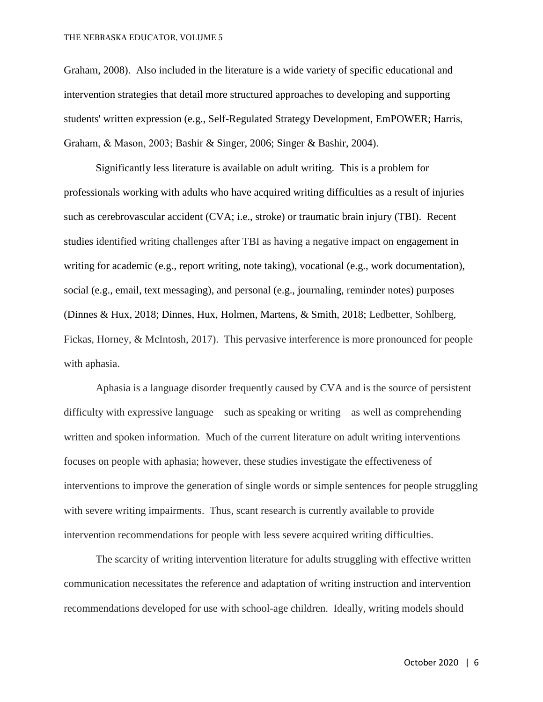Graham, 2008). Also included in the literature is a wide variety of specific educational and intervention strategies that detail more structured approaches to developing and supporting students' written expression (e.g., Self-Regulated Strategy Development, EmPOWER; Harris, Graham, & Mason, 2003; Bashir & Singer, 2006; Singer & Bashir, 2004).

Significantly less literature is available on adult writing. This is a problem for professionals working with adults who have acquired writing difficulties as a result of injuries such as cerebrovascular accident (CVA; i.e., stroke) or traumatic brain injury (TBI). Recent studies identified writing challenges after TBI as having a negative impact on engagement in writing for academic (e.g., report writing, note taking), vocational (e.g., work documentation), social (e.g., email, text messaging), and personal (e.g., journaling, reminder notes) purposes (Dinnes & Hux, 2018; Dinnes, Hux, Holmen, Martens, & Smith, 2018; Ledbetter, Sohlberg, Fickas, Horney, & McIntosh, 2017). This pervasive interference is more pronounced for people with aphasia.

Aphasia is a language disorder frequently caused by CVA and is the source of persistent difficulty with expressive language—such as speaking or writing—as well as comprehending written and spoken information. Much of the current literature on adult writing interventions focuses on people with aphasia; however, these studies investigate the effectiveness of interventions to improve the generation of single words or simple sentences for people struggling with severe writing impairments. Thus, scant research is currently available to provide intervention recommendations for people with less severe acquired writing difficulties.

The scarcity of writing intervention literature for adults struggling with effective written communication necessitates the reference and adaptation of writing instruction and intervention recommendations developed for use with school-age children. Ideally, writing models should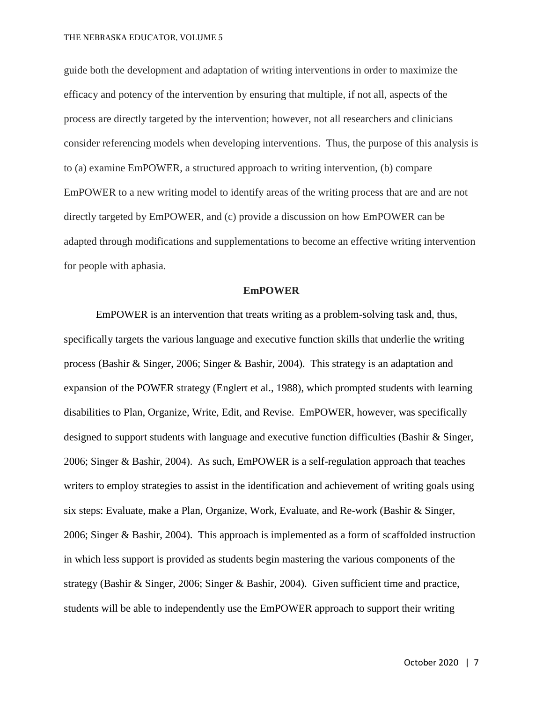guide both the development and adaptation of writing interventions in order to maximize the efficacy and potency of the intervention by ensuring that multiple, if not all, aspects of the process are directly targeted by the intervention; however, not all researchers and clinicians consider referencing models when developing interventions. Thus, the purpose of this analysis is to (a) examine EmPOWER, a structured approach to writing intervention, (b) compare EmPOWER to a new writing model to identify areas of the writing process that are and are not directly targeted by EmPOWER, and (c) provide a discussion on how EmPOWER can be adapted through modifications and supplementations to become an effective writing intervention for people with aphasia.

#### **EmPOWER**

EmPOWER is an intervention that treats writing as a problem-solving task and, thus, specifically targets the various language and executive function skills that underlie the writing process (Bashir & Singer, 2006; Singer & Bashir, 2004). This strategy is an adaptation and expansion of the POWER strategy (Englert et al., 1988), which prompted students with learning disabilities to Plan, Organize, Write, Edit, and Revise. EmPOWER, however, was specifically designed to support students with language and executive function difficulties (Bashir & Singer, 2006; Singer & Bashir, 2004). As such, EmPOWER is a self-regulation approach that teaches writers to employ strategies to assist in the identification and achievement of writing goals using six steps: Evaluate, make a Plan, Organize, Work, Evaluate, and Re-work (Bashir & Singer, 2006; Singer & Bashir, 2004). This approach is implemented as a form of scaffolded instruction in which less support is provided as students begin mastering the various components of the strategy (Bashir & Singer, 2006; Singer & Bashir, 2004). Given sufficient time and practice, students will be able to independently use the EmPOWER approach to support their writing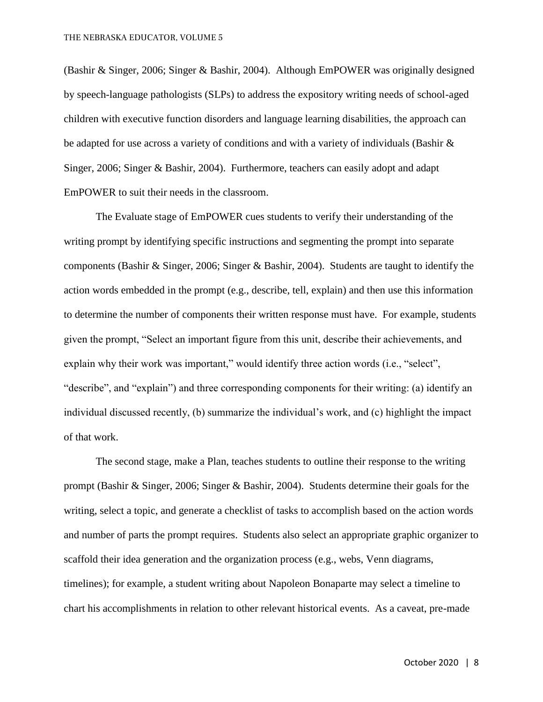(Bashir & Singer, 2006; Singer & Bashir, 2004). Although EmPOWER was originally designed by speech-language pathologists (SLPs) to address the expository writing needs of school-aged children with executive function disorders and language learning disabilities, the approach can be adapted for use across a variety of conditions and with a variety of individuals (Bashir & Singer, 2006; Singer & Bashir, 2004). Furthermore, teachers can easily adopt and adapt EmPOWER to suit their needs in the classroom.

The Evaluate stage of EmPOWER cues students to verify their understanding of the writing prompt by identifying specific instructions and segmenting the prompt into separate components (Bashir & Singer, 2006; Singer & Bashir, 2004). Students are taught to identify the action words embedded in the prompt (e.g., describe, tell, explain) and then use this information to determine the number of components their written response must have. For example, students given the prompt, "Select an important figure from this unit, describe their achievements, and explain why their work was important," would identify three action words (i.e., "select", "describe", and "explain") and three corresponding components for their writing: (a) identify an individual discussed recently, (b) summarize the individual's work, and (c) highlight the impact of that work.

The second stage, make a Plan, teaches students to outline their response to the writing prompt (Bashir & Singer, 2006; Singer & Bashir, 2004). Students determine their goals for the writing, select a topic, and generate a checklist of tasks to accomplish based on the action words and number of parts the prompt requires. Students also select an appropriate graphic organizer to scaffold their idea generation and the organization process (e.g., webs, Venn diagrams, timelines); for example, a student writing about Napoleon Bonaparte may select a timeline to chart his accomplishments in relation to other relevant historical events. As a caveat, pre-made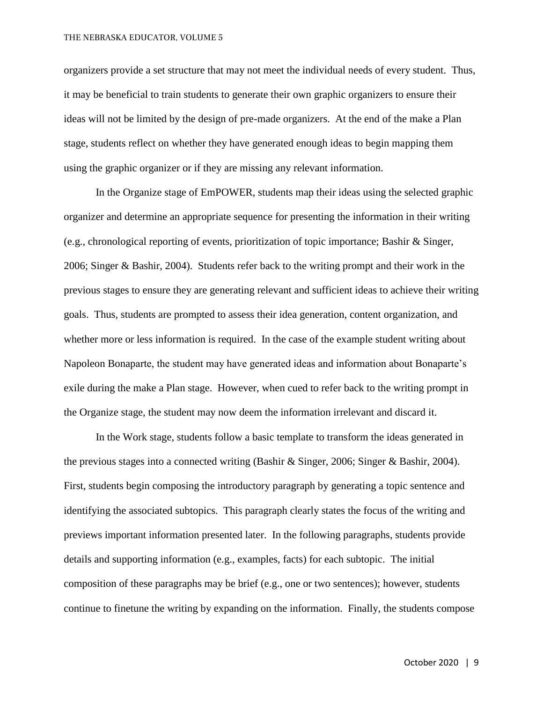#### THE NEBRASKA EDUCATOR, VOLUME 5

organizers provide a set structure that may not meet the individual needs of every student. Thus, it may be beneficial to train students to generate their own graphic organizers to ensure their ideas will not be limited by the design of pre-made organizers. At the end of the make a Plan stage, students reflect on whether they have generated enough ideas to begin mapping them using the graphic organizer or if they are missing any relevant information.

In the Organize stage of EmPOWER, students map their ideas using the selected graphic organizer and determine an appropriate sequence for presenting the information in their writing (e.g., chronological reporting of events, prioritization of topic importance; Bashir & Singer, 2006; Singer & Bashir, 2004). Students refer back to the writing prompt and their work in the previous stages to ensure they are generating relevant and sufficient ideas to achieve their writing goals. Thus, students are prompted to assess their idea generation, content organization, and whether more or less information is required. In the case of the example student writing about Napoleon Bonaparte, the student may have generated ideas and information about Bonaparte's exile during the make a Plan stage. However, when cued to refer back to the writing prompt in the Organize stage, the student may now deem the information irrelevant and discard it.

In the Work stage, students follow a basic template to transform the ideas generated in the previous stages into a connected writing (Bashir & Singer, 2006; Singer & Bashir, 2004). First, students begin composing the introductory paragraph by generating a topic sentence and identifying the associated subtopics. This paragraph clearly states the focus of the writing and previews important information presented later. In the following paragraphs, students provide details and supporting information (e.g., examples, facts) for each subtopic. The initial composition of these paragraphs may be brief (e.g., one or two sentences); however, students continue to finetune the writing by expanding on the information. Finally, the students compose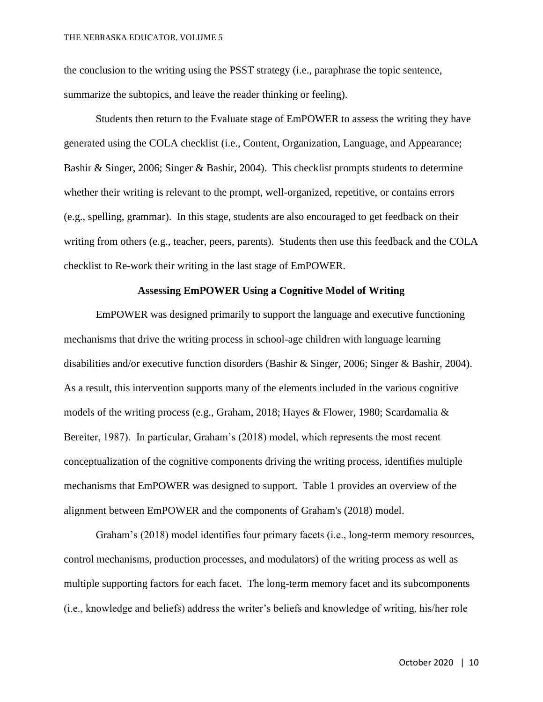the conclusion to the writing using the PSST strategy (i.e., paraphrase the topic sentence, summarize the subtopics, and leave the reader thinking or feeling).

Students then return to the Evaluate stage of EmPOWER to assess the writing they have generated using the COLA checklist (i.e., Content, Organization, Language, and Appearance; Bashir & Singer, 2006; Singer & Bashir, 2004). This checklist prompts students to determine whether their writing is relevant to the prompt, well-organized, repetitive, or contains errors (e.g., spelling, grammar). In this stage, students are also encouraged to get feedback on their writing from others (e.g., teacher, peers, parents). Students then use this feedback and the COLA checklist to Re-work their writing in the last stage of EmPOWER.

#### **Assessing EmPOWER Using a Cognitive Model of Writing**

EmPOWER was designed primarily to support the language and executive functioning mechanisms that drive the writing process in school-age children with language learning disabilities and/or executive function disorders (Bashir & Singer, 2006; Singer & Bashir, 2004). As a result, this intervention supports many of the elements included in the various cognitive models of the writing process (e.g., Graham, 2018; Hayes & Flower, 1980; Scardamalia & Bereiter, 1987). In particular, Graham's (2018) model, which represents the most recent conceptualization of the cognitive components driving the writing process, identifies multiple mechanisms that EmPOWER was designed to support. Table 1 provides an overview of the alignment between EmPOWER and the components of Graham's (2018) model.

Graham's (2018) model identifies four primary facets (i.e., long-term memory resources, control mechanisms, production processes, and modulators) of the writing process as well as multiple supporting factors for each facet. The long-term memory facet and its subcomponents (i.e., knowledge and beliefs) address the writer's beliefs and knowledge of writing, his/her role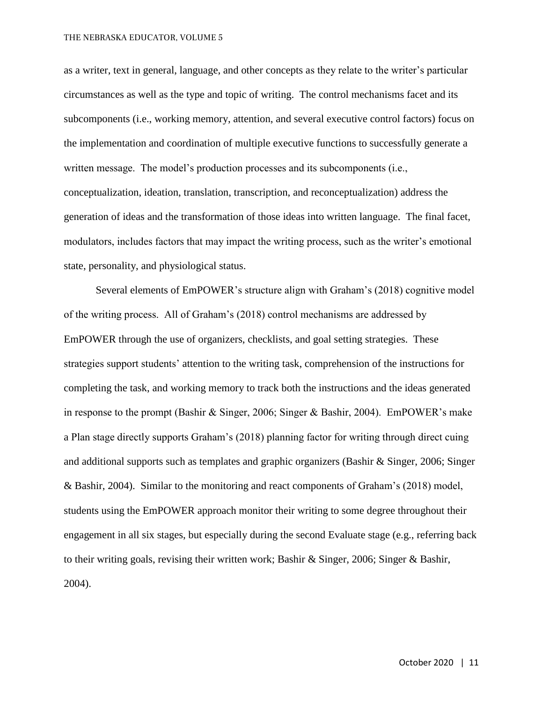as a writer, text in general, language, and other concepts as they relate to the writer's particular circumstances as well as the type and topic of writing. The control mechanisms facet and its subcomponents (i.e., working memory, attention, and several executive control factors) focus on the implementation and coordination of multiple executive functions to successfully generate a written message. The model's production processes and its subcomponents (i.e., conceptualization, ideation, translation, transcription, and reconceptualization) address the generation of ideas and the transformation of those ideas into written language. The final facet, modulators, includes factors that may impact the writing process, such as the writer's emotional state, personality, and physiological status.

Several elements of EmPOWER's structure align with Graham's (2018) cognitive model of the writing process. All of Graham's (2018) control mechanisms are addressed by EmPOWER through the use of organizers, checklists, and goal setting strategies. These strategies support students' attention to the writing task, comprehension of the instructions for completing the task, and working memory to track both the instructions and the ideas generated in response to the prompt (Bashir & Singer, 2006; Singer & Bashir, 2004). EmPOWER's make a Plan stage directly supports Graham's (2018) planning factor for writing through direct cuing and additional supports such as templates and graphic organizers (Bashir & Singer, 2006; Singer & Bashir, 2004). Similar to the monitoring and react components of Graham's (2018) model, students using the EmPOWER approach monitor their writing to some degree throughout their engagement in all six stages, but especially during the second Evaluate stage (e.g., referring back to their writing goals, revising their written work; Bashir & Singer, 2006; Singer & Bashir, 2004).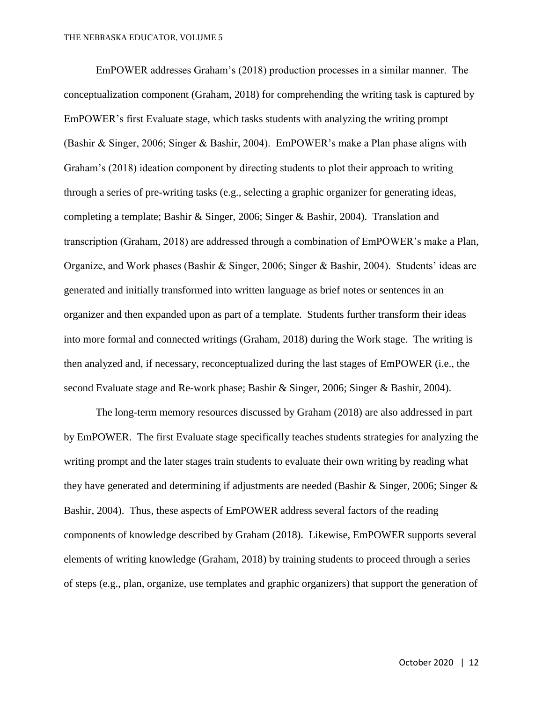EmPOWER addresses Graham's (2018) production processes in a similar manner. The conceptualization component (Graham, 2018) for comprehending the writing task is captured by EmPOWER's first Evaluate stage, which tasks students with analyzing the writing prompt (Bashir & Singer, 2006; Singer & Bashir, 2004). EmPOWER's make a Plan phase aligns with Graham's (2018) ideation component by directing students to plot their approach to writing through a series of pre-writing tasks (e.g., selecting a graphic organizer for generating ideas, completing a template; Bashir & Singer, 2006; Singer & Bashir, 2004). Translation and transcription (Graham, 2018) are addressed through a combination of EmPOWER's make a Plan, Organize, and Work phases (Bashir & Singer, 2006; Singer & Bashir, 2004). Students' ideas are generated and initially transformed into written language as brief notes or sentences in an organizer and then expanded upon as part of a template. Students further transform their ideas into more formal and connected writings (Graham, 2018) during the Work stage. The writing is then analyzed and, if necessary, reconceptualized during the last stages of EmPOWER (i.e., the second Evaluate stage and Re-work phase; Bashir & Singer, 2006; Singer & Bashir, 2004).

The long-term memory resources discussed by Graham (2018) are also addressed in part by EmPOWER. The first Evaluate stage specifically teaches students strategies for analyzing the writing prompt and the later stages train students to evaluate their own writing by reading what they have generated and determining if adjustments are needed (Bashir & Singer, 2006; Singer & Bashir, 2004). Thus, these aspects of EmPOWER address several factors of the reading components of knowledge described by Graham (2018). Likewise, EmPOWER supports several elements of writing knowledge (Graham, 2018) by training students to proceed through a series of steps (e.g., plan, organize, use templates and graphic organizers) that support the generation of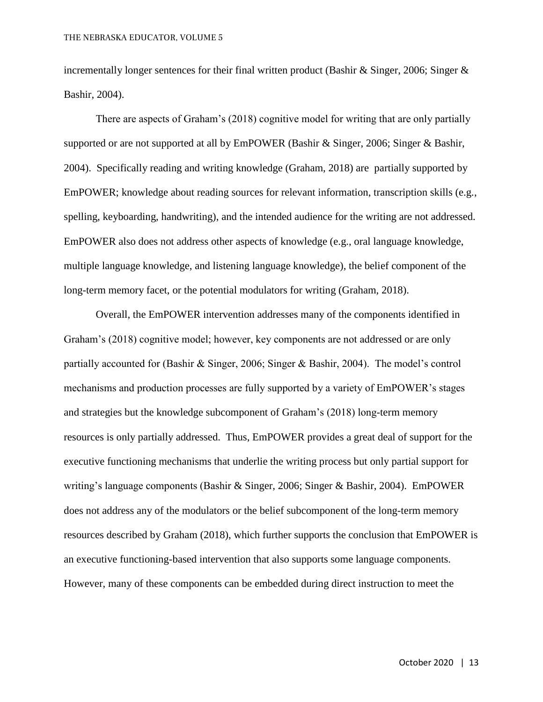incrementally longer sentences for their final written product (Bashir & Singer, 2006; Singer & Bashir, 2004).

There are aspects of Graham's (2018) cognitive model for writing that are only partially supported or are not supported at all by EmPOWER (Bashir & Singer, 2006; Singer & Bashir, 2004). Specifically reading and writing knowledge (Graham, 2018) are partially supported by EmPOWER; knowledge about reading sources for relevant information, transcription skills (e.g., spelling, keyboarding, handwriting), and the intended audience for the writing are not addressed. EmPOWER also does not address other aspects of knowledge (e.g., oral language knowledge, multiple language knowledge, and listening language knowledge), the belief component of the long-term memory facet, or the potential modulators for writing (Graham, 2018).

Overall, the EmPOWER intervention addresses many of the components identified in Graham's (2018) cognitive model; however, key components are not addressed or are only partially accounted for (Bashir & Singer, 2006; Singer & Bashir, 2004). The model's control mechanisms and production processes are fully supported by a variety of EmPOWER's stages and strategies but the knowledge subcomponent of Graham's (2018) long-term memory resources is only partially addressed. Thus, EmPOWER provides a great deal of support for the executive functioning mechanisms that underlie the writing process but only partial support for writing's language components (Bashir & Singer, 2006; Singer & Bashir, 2004). EmPOWER does not address any of the modulators or the belief subcomponent of the long-term memory resources described by Graham (2018), which further supports the conclusion that EmPOWER is an executive functioning-based intervention that also supports some language components. However, many of these components can be embedded during direct instruction to meet the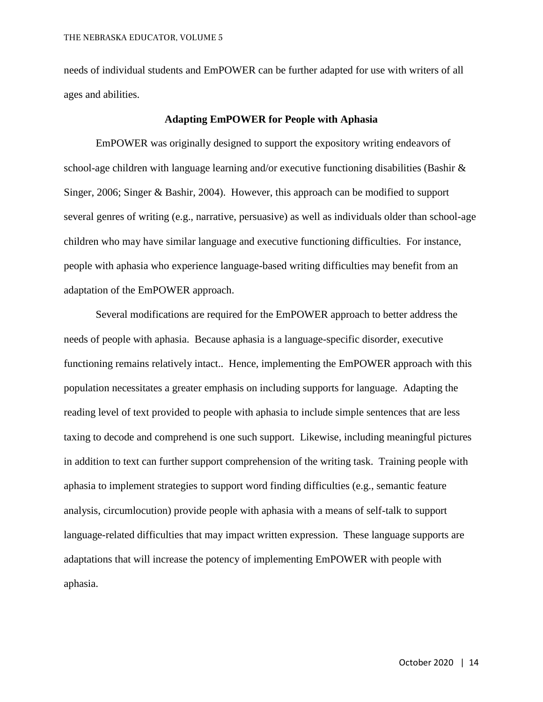needs of individual students and EmPOWER can be further adapted for use with writers of all ages and abilities.

#### **Adapting EmPOWER for People with Aphasia**

EmPOWER was originally designed to support the expository writing endeavors of school-age children with language learning and/or executive functioning disabilities (Bashir  $\&$ Singer, 2006; Singer & Bashir, 2004). However, this approach can be modified to support several genres of writing (e.g., narrative, persuasive) as well as individuals older than school-age children who may have similar language and executive functioning difficulties. For instance, people with aphasia who experience language-based writing difficulties may benefit from an adaptation of the EmPOWER approach.

Several modifications are required for the EmPOWER approach to better address the needs of people with aphasia. Because aphasia is a language-specific disorder, executive functioning remains relatively intact.. Hence, implementing the EmPOWER approach with this population necessitates a greater emphasis on including supports for language. Adapting the reading level of text provided to people with aphasia to include simple sentences that are less taxing to decode and comprehend is one such support. Likewise, including meaningful pictures in addition to text can further support comprehension of the writing task. Training people with aphasia to implement strategies to support word finding difficulties (e.g., semantic feature analysis, circumlocution) provide people with aphasia with a means of self-talk to support language-related difficulties that may impact written expression. These language supports are adaptations that will increase the potency of implementing EmPOWER with people with aphasia.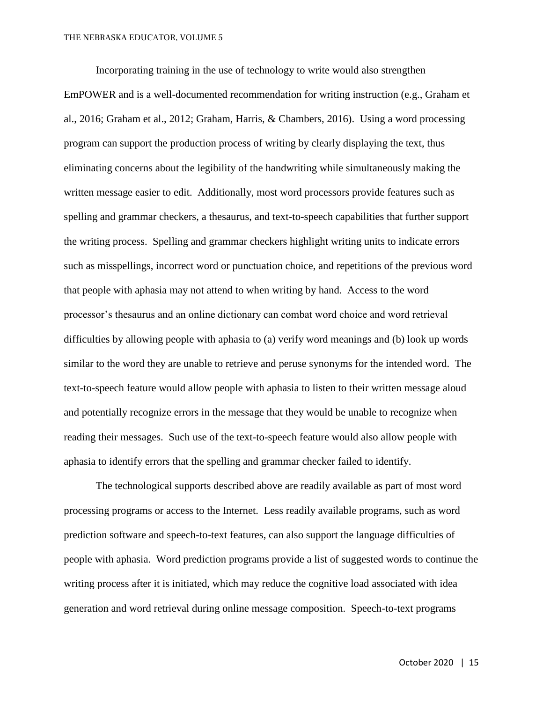Incorporating training in the use of technology to write would also strengthen EmPOWER and is a well-documented recommendation for writing instruction (e.g., Graham et al., 2016; Graham et al., 2012; Graham, Harris, & Chambers, 2016). Using a word processing program can support the production process of writing by clearly displaying the text, thus eliminating concerns about the legibility of the handwriting while simultaneously making the written message easier to edit. Additionally, most word processors provide features such as spelling and grammar checkers, a thesaurus, and text-to-speech capabilities that further support the writing process. Spelling and grammar checkers highlight writing units to indicate errors such as misspellings, incorrect word or punctuation choice, and repetitions of the previous word that people with aphasia may not attend to when writing by hand. Access to the word processor's thesaurus and an online dictionary can combat word choice and word retrieval difficulties by allowing people with aphasia to (a) verify word meanings and (b) look up words similar to the word they are unable to retrieve and peruse synonyms for the intended word. The text-to-speech feature would allow people with aphasia to listen to their written message aloud and potentially recognize errors in the message that they would be unable to recognize when reading their messages. Such use of the text-to-speech feature would also allow people with aphasia to identify errors that the spelling and grammar checker failed to identify.

The technological supports described above are readily available as part of most word processing programs or access to the Internet. Less readily available programs, such as word prediction software and speech-to-text features, can also support the language difficulties of people with aphasia. Word prediction programs provide a list of suggested words to continue the writing process after it is initiated, which may reduce the cognitive load associated with idea generation and word retrieval during online message composition. Speech-to-text programs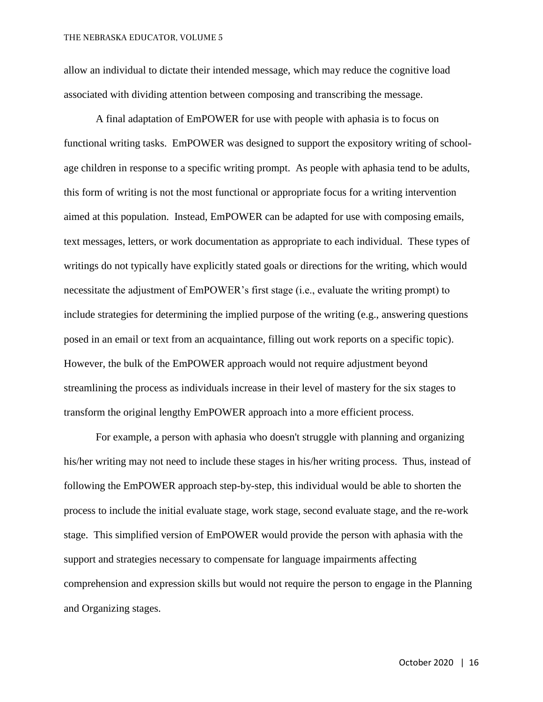allow an individual to dictate their intended message, which may reduce the cognitive load associated with dividing attention between composing and transcribing the message.

A final adaptation of EmPOWER for use with people with aphasia is to focus on functional writing tasks. EmPOWER was designed to support the expository writing of schoolage children in response to a specific writing prompt. As people with aphasia tend to be adults, this form of writing is not the most functional or appropriate focus for a writing intervention aimed at this population. Instead, EmPOWER can be adapted for use with composing emails, text messages, letters, or work documentation as appropriate to each individual. These types of writings do not typically have explicitly stated goals or directions for the writing, which would necessitate the adjustment of EmPOWER's first stage (i.e., evaluate the writing prompt) to include strategies for determining the implied purpose of the writing (e.g., answering questions posed in an email or text from an acquaintance, filling out work reports on a specific topic). However, the bulk of the EmPOWER approach would not require adjustment beyond streamlining the process as individuals increase in their level of mastery for the six stages to transform the original lengthy EmPOWER approach into a more efficient process.

For example, a person with aphasia who doesn't struggle with planning and organizing his/her writing may not need to include these stages in his/her writing process. Thus, instead of following the EmPOWER approach step-by-step, this individual would be able to shorten the process to include the initial evaluate stage, work stage, second evaluate stage, and the re-work stage. This simplified version of EmPOWER would provide the person with aphasia with the support and strategies necessary to compensate for language impairments affecting comprehension and expression skills but would not require the person to engage in the Planning and Organizing stages.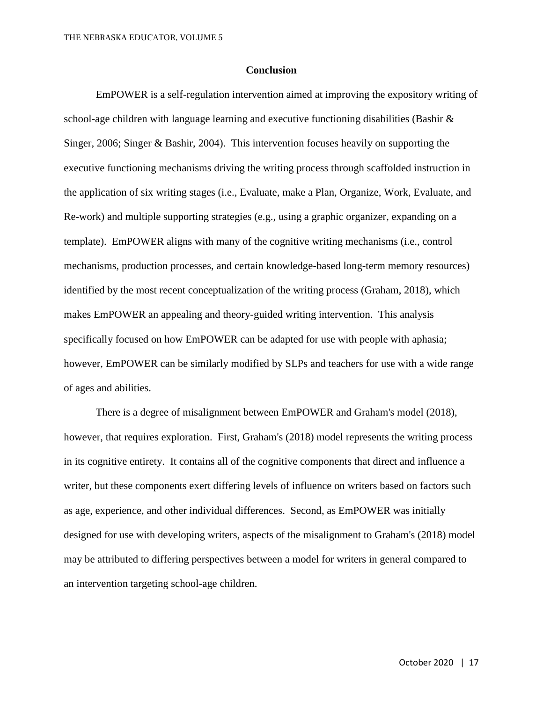#### **Conclusion**

EmPOWER is a self-regulation intervention aimed at improving the expository writing of school-age children with language learning and executive functioning disabilities (Bashir & Singer, 2006; Singer & Bashir, 2004). This intervention focuses heavily on supporting the executive functioning mechanisms driving the writing process through scaffolded instruction in the application of six writing stages (i.e., Evaluate, make a Plan, Organize, Work, Evaluate, and Re-work) and multiple supporting strategies (e.g., using a graphic organizer, expanding on a template). EmPOWER aligns with many of the cognitive writing mechanisms (i.e., control mechanisms, production processes, and certain knowledge-based long-term memory resources) identified by the most recent conceptualization of the writing process (Graham, 2018), which makes EmPOWER an appealing and theory-guided writing intervention. This analysis specifically focused on how EmPOWER can be adapted for use with people with aphasia; however, EmPOWER can be similarly modified by SLPs and teachers for use with a wide range of ages and abilities.

There is a degree of misalignment between EmPOWER and Graham's model (2018), however, that requires exploration. First, Graham's (2018) model represents the writing process in its cognitive entirety. It contains all of the cognitive components that direct and influence a writer, but these components exert differing levels of influence on writers based on factors such as age, experience, and other individual differences. Second, as EmPOWER was initially designed for use with developing writers, aspects of the misalignment to Graham's (2018) model may be attributed to differing perspectives between a model for writers in general compared to an intervention targeting school-age children.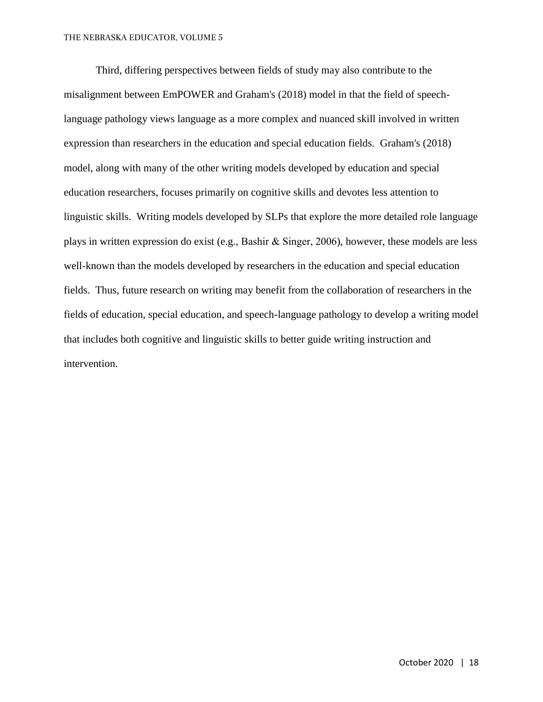Third, differing perspectives between fields of study may also contribute to the misalignment between EmPOWER and Graham's (2018) model in that the field of speechlanguage pathology views language as a more complex and nuanced skill involved in written expression than researchers in the education and special education fields. Graham's (2018) model, along with many of the other writing models developed by education and special education researchers, focuses primarily on cognitive skills and devotes less attention to linguistic skills. Writing models developed by SLPs that explore the more detailed role language plays in written expression do exist (e.g., Bashir & Singer, 2006), however, these models are less well-known than the models developed by researchers in the education and special education fields. Thus, future research on writing may benefit from the collaboration of researchers in the fields of education, special education, and speech-language pathology to develop a writing model that includes both cognitive and linguistic skills to better guide writing instruction and intervention.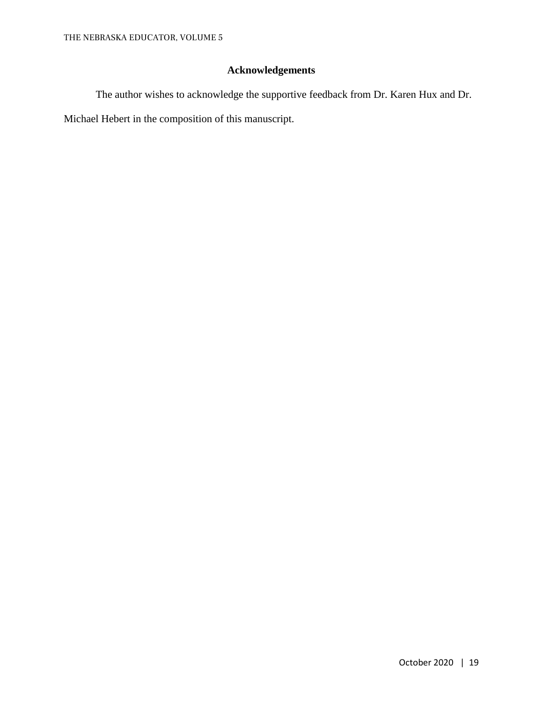### **Acknowledgements**

The author wishes to acknowledge the supportive feedback from Dr. Karen Hux and Dr. Michael Hebert in the composition of this manuscript.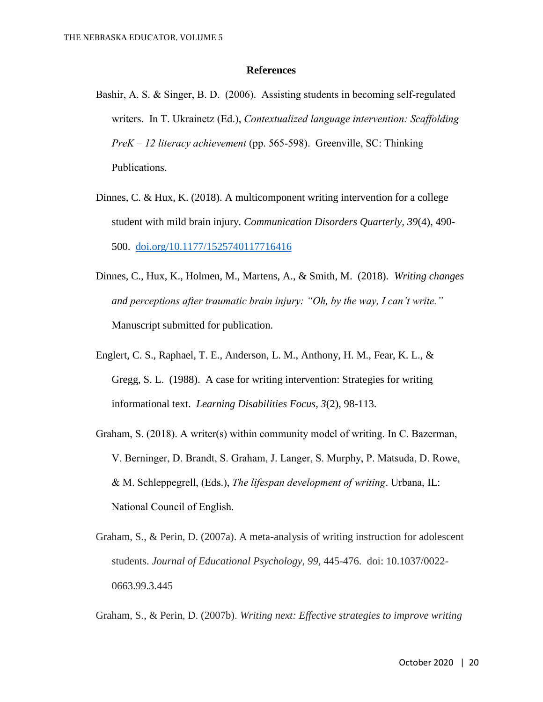#### **References**

- Bashir, A. S. & Singer, B. D. (2006). Assisting students in becoming self-regulated writers. In T. Ukrainetz (Ed.), *Contextualized language intervention: Scaffolding PreK – 12 literacy achievement* (pp. 565-598). Greenville, SC: Thinking Publications.
- Dinnes, C. & Hux, K. (2018). A multicomponent writing intervention for a college student with mild brain injury*. Communication Disorders Quarterly, 39*(4), 490- 500. [doi.org/10.1177/1525740117716416](about:blank)
- Dinnes, C., Hux, K., Holmen, M., Martens, A., & Smith, M. (2018). *Writing changes and perceptions after traumatic brain injury: "Oh, by the way, I can't write."* Manuscript submitted for publication.
- Englert, C. S., Raphael, T. E., Anderson, L. M., Anthony, H. M., Fear, K. L., & Gregg, S. L. (1988). A case for writing intervention: Strategies for writing informational text. *Learning Disabilities Focus, 3*(2), 98-113.
- Graham, S. (2018). A writer(s) within community model of writing. In C. Bazerman, V. Berninger, D. Brandt, S. Graham, J. Langer, S. Murphy, P. Matsuda, D. Rowe, & M. Schleppegrell, (Eds.), *The lifespan development of writing*. Urbana, IL: National Council of English.
- Graham, S., & Perin, D. (2007a). A meta-analysis of writing instruction for adolescent students. *Journal of Educational Psychology*, *99*, 445-476. doi: 10.1037/0022- 0663.99.3.445

Graham, S., & Perin, D. (2007b). *Writing next: Effective strategies to improve writing*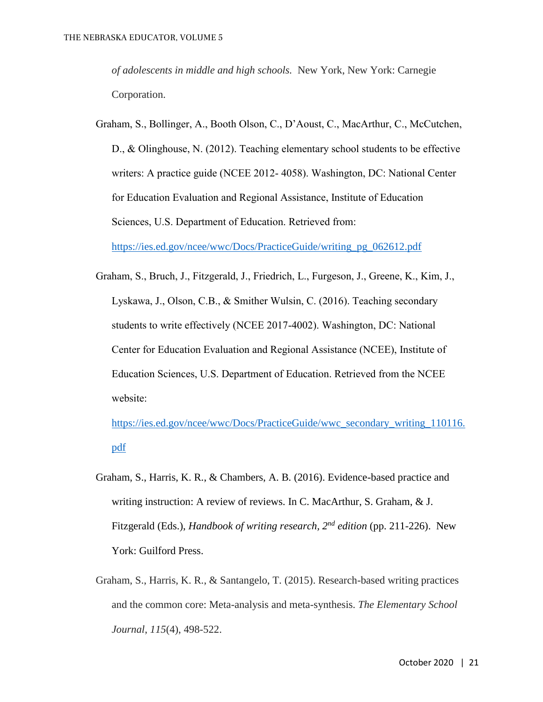*of adolescents in middle and high schools.* New York, New York: Carnegie Corporation.

Graham, S., Bollinger, A., Booth Olson, C., D'Aoust, C., MacArthur, C., McCutchen, D., & Olinghouse, N. (2012). Teaching elementary school students to be effective writers: A practice guide (NCEE 2012- 4058). Washington, DC: National Center for Education Evaluation and Regional Assistance, Institute of Education Sciences, U.S. Department of Education. Retrieved from:

[https://ies.ed.gov/ncee/wwc/Docs/PracticeGuide/writing\\_pg\\_062612.pdf](about:blank)

Graham, S., Bruch, J., Fitzgerald, J., Friedrich, L., Furgeson, J., Greene, K., Kim, J., Lyskawa, J., Olson, C.B., & Smither Wulsin, C. (2016). Teaching secondary students to write effectively (NCEE 2017-4002). Washington, DC: National Center for Education Evaluation and Regional Assistance (NCEE), Institute of Education Sciences, U.S. Department of Education. Retrieved from the NCEE website:

[https://ies.ed.gov/ncee/wwc/Docs/PracticeGuide/wwc\\_secondary\\_writing\\_110116.](about:blank) [pdf](about:blank)

- Graham, S., Harris, K. R., & Chambers, A. B. (2016). Evidence-based practice and writing instruction: A review of reviews. In C. MacArthur, S. Graham, & J. Fitzgerald (Eds.), *Handbook of writing research, 2nd edition* (pp. 211-226). New York: Guilford Press.
- Graham, S., Harris, K. R., & Santangelo, T. (2015). Research-based writing practices and the common core: Meta-analysis and meta-synthesis. *The Elementary School Journal*, *115*(4), 498-522.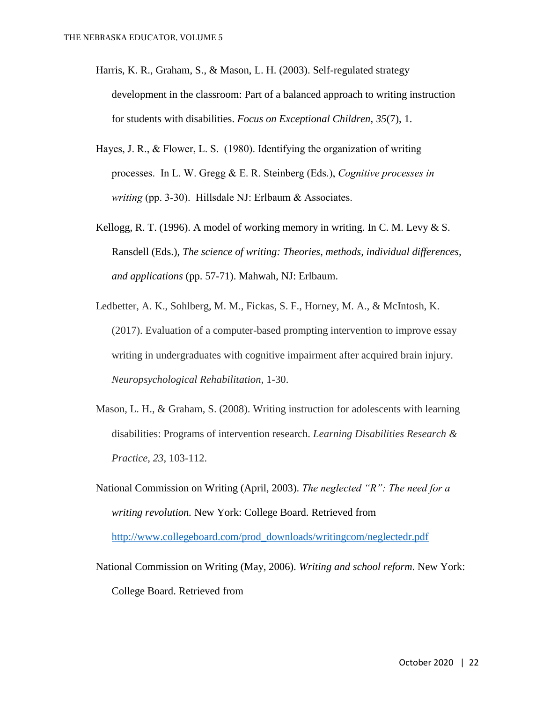- Harris, K. R., Graham, S., & Mason, L. H. (2003). Self-regulated strategy development in the classroom: Part of a balanced approach to writing instruction for students with disabilities. *Focus on Exceptional Children*, *35*(7), 1.
- Hayes, J. R., & Flower, L. S. (1980). Identifying the organization of writing processes. In L. W. Gregg & E. R. Steinberg (Eds.), *Cognitive processes in writing* (pp. 3-30). Hillsdale NJ: Erlbaum & Associates.
- Kellogg, R. T. (1996). A model of working memory in writing. In C. M. Levy  $& S.$ Ransdell (Eds.), *The science of writing: Theories, methods, individual differences, and applications* (pp. 57-71). Mahwah, NJ: Erlbaum.
- Ledbetter, A. K., Sohlberg, M. M., Fickas, S. F., Horney, M. A., & McIntosh, K. (2017). Evaluation of a computer-based prompting intervention to improve essay writing in undergraduates with cognitive impairment after acquired brain injury. *Neuropsychological Rehabilitation*, 1-30.
- Mason, L. H., & Graham, S. (2008). Writing instruction for adolescents with learning disabilities: Programs of intervention research. *Learning Disabilities Research & Practice*, *23*, 103-112.
- National Commission on Writing (April, 2003). *The neglected "R": The need for a writing revolution.* New York: College Board. Retrieved from [http://www.collegeboard.com/prod\\_downloads/writingcom/neglectedr.pdf](about:blank)
- National Commission on Writing (May, 2006). *Writing and school reform*. New York: College Board. Retrieved from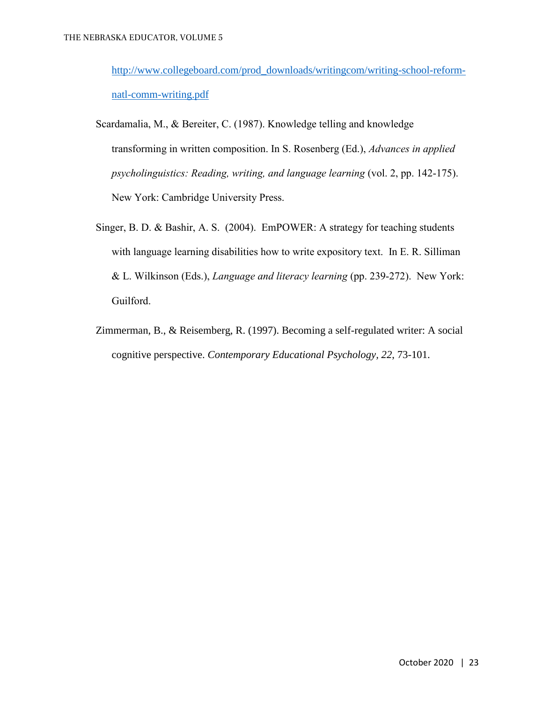[http://www.collegeboard.com/prod\\_downloads/writingcom/writing-school-reform](about:blank)[natl-comm-writing.pdf](about:blank)

- Scardamalia, M., & Bereiter, C. (1987). Knowledge telling and knowledge transforming in written composition. In S. Rosenberg (Ed.), *Advances in applied psycholinguistics: Reading, writing, and language learning* (vol. 2, pp. 142-175). New York: Cambridge University Press.
- Singer, B. D. & Bashir, A. S. (2004). EmPOWER: A strategy for teaching students with language learning disabilities how to write expository text. In E. R. Silliman & L. Wilkinson (Eds.), *Language and literacy learning* (pp. 239-272). New York: Guilford.
- Zimmerman, B., & Reisemberg, R. (1997). Becoming a self-regulated writer: A social cognitive perspective. *Contemporary Educational Psychology, 22*, 73-101.